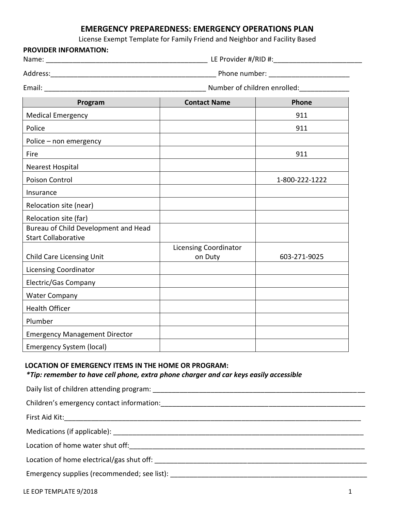License Exempt Template for Family Friend and Neighbor and Facility Based

| PROVIDER INFORMATION:                                              |                              |                |
|--------------------------------------------------------------------|------------------------------|----------------|
|                                                                    |                              |                |
|                                                                    |                              |                |
|                                                                    |                              |                |
| Program                                                            | <b>Contact Name</b>          | Phone          |
| <b>Medical Emergency</b>                                           |                              | 911            |
| Police                                                             |                              | 911            |
| Police – non emergency                                             |                              |                |
| Fire                                                               |                              | 911            |
| Nearest Hospital                                                   |                              |                |
| Poison Control                                                     |                              | 1-800-222-1222 |
| Insurance                                                          |                              |                |
| Relocation site (near)                                             |                              |                |
| Relocation site (far)                                              |                              |                |
| Bureau of Child Development and Head<br><b>Start Collaborative</b> |                              |                |
|                                                                    | <b>Licensing Coordinator</b> |                |
| Child Care Licensing Unit                                          | on Duty                      | 603-271-9025   |
| <b>Licensing Coordinator</b>                                       |                              |                |
| Electric/Gas Company                                               |                              |                |
| Water Company Materials                                            |                              |                |
| <b>Health Officer</b>                                              |                              |                |
| Plumber                                                            |                              |                |
| <b>Emergency Management Director</b>                               |                              |                |
| Emergency System (local)                                           |                              |                |

### **LOCATION OF EMERGENCY ITEMS IN THE HOME OR PROGRAM:** *\*Tip: remember to have cell phone, extra phone charger and car keys easily accessible*

| Location of home water shut off: The Contract Contract of the Contract of the Contract of Location of home water |
|------------------------------------------------------------------------------------------------------------------|
|                                                                                                                  |
| Emergency supplies (recommended; see list):                                                                      |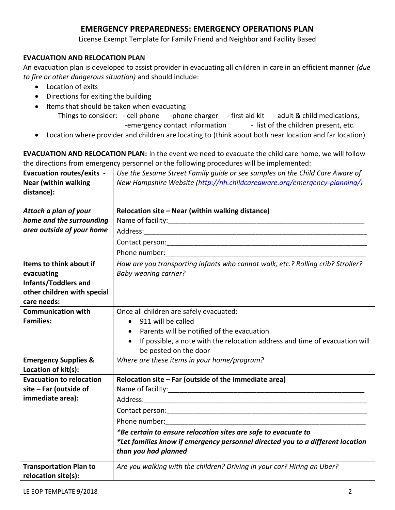License Exempt Template for Family Friend and Neighbor and Facility Based

#### **EVACUATION AND RELOCATION PLAN**

An evacuation plan is developed to assist provider in evacuating all children in care in an efficient manner *(due to fire or other dangerous situation)* and should include:

- Location of exits
- Directions for exiting the building
- Items that should be taken when evacuating
	- Things to consider: cell phone phone charger first aid kit adult & child medications, -emergency contact information - list of the children present, etc.
- Location where provider and children are locating to (think about both near location and far location)

**EVACUATION AND RELOCATION PLAN:** In the event we need to evacuate the child care home, we will follow the directions from emergency personnel or the following procedures will be implemented:

| <b>Evacuation routes/exits -</b>              | Use the Sesame Street Family guide or see samples on the Child Care Aware of                         |
|-----------------------------------------------|------------------------------------------------------------------------------------------------------|
| <b>Near (within walking</b><br>distance):     | New Hampshire Website (http://nh.childcareaware.org/emergency-planning/)                             |
|                                               |                                                                                                      |
| Attach a plan of your                         | Relocation site - Near (within walking distance)                                                     |
| home and the surrounding                      |                                                                                                      |
| area outside of your home                     |                                                                                                      |
|                                               |                                                                                                      |
|                                               |                                                                                                      |
| Items to think about if                       | How are you transporting infants who cannot walk, etc.? Rolling crib? Stroller?                      |
| evacuating                                    | <b>Baby wearing carrier?</b>                                                                         |
| <b>Infants/Toddlers and</b>                   |                                                                                                      |
| other children with special                   |                                                                                                      |
| care needs:                                   |                                                                                                      |
| <b>Communication with</b><br><b>Families:</b> | Once all children are safely evacuated:<br>911 will be called                                        |
|                                               | $\bullet$<br>Parents will be notified of the evacuation                                              |
|                                               |                                                                                                      |
|                                               | If possible, a note with the relocation address and time of evacuation will<br>be posted on the door |
| <b>Emergency Supplies &amp;</b>               | Where are these items in your home/program?                                                          |
| Location of kit(s):                           |                                                                                                      |
| <b>Evacuation to relocation</b>               | Relocation site $-$ Far (outside of the immediate area)                                              |
| site - Far (outside of                        |                                                                                                      |
| immediate area):                              |                                                                                                      |
|                                               |                                                                                                      |
|                                               | Phone number:                                                                                        |
|                                               | *Be certain to ensure relocation sites are safe to evacuate to                                       |
|                                               | *Let families know if emergency personnel directed you to a different location                       |
|                                               | than you had planned                                                                                 |
| <b>Transportation Plan to</b>                 | Are you walking with the children? Driving in your car? Hiring an Uber?                              |
| relocation site(s):                           |                                                                                                      |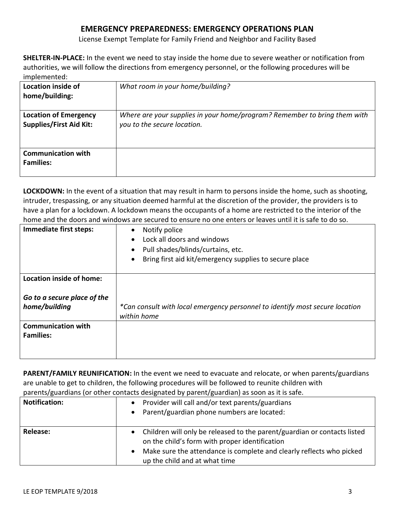License Exempt Template for Family Friend and Neighbor and Facility Based

**SHELTER-IN-PLACE:** In the event we need to stay inside the home due to severe weather or notification from authorities, we will follow the directions from emergency personnel, or the following procedures will be implemented:

| Location inside of<br>home/building:                           | What room in your home/building?                                                                         |
|----------------------------------------------------------------|----------------------------------------------------------------------------------------------------------|
| <b>Location of Emergency</b><br><b>Supplies/First Aid Kit:</b> | Where are your supplies in your home/program? Remember to bring them with<br>you to the secure location. |
| <b>Communication with</b><br><b>Families:</b>                  |                                                                                                          |

**LOCKDOWN:** In the event of a situation that may result in harm to persons inside the home, such as shooting, intruder, trespassing, or any situation deemed harmful at the discretion of the provider, the providers is to have a plan for a lockdown. A lockdown means the occupants of a home are restricted to the interior of the home and the doors and windows are secured to ensure no one enters or leaves until it is safe to do so.

| Immediate first steps:                        | Notify police<br>Lock all doors and windows<br>Pull shades/blinds/curtains, etc.<br>Bring first aid kit/emergency supplies to secure place |
|-----------------------------------------------|--------------------------------------------------------------------------------------------------------------------------------------------|
| Location inside of home:                      |                                                                                                                                            |
| Go to a secure place of the<br>home/building  | *Can consult with local emergency personnel to identify most secure location<br>within home                                                |
| <b>Communication with</b><br><b>Families:</b> |                                                                                                                                            |

**PARENT/FAMILY REUNIFICATION:** In the event we need to evacuate and relocate, or when parents/guardians are unable to get to children, the following procedures will be followed to reunite children with parents/guardians (or other contacts designated by parent/guardian) as soon as it is safe.

| <b>Notification:</b> | • Provider will call and/or text parents/guardians<br>• Parent/guardian phone numbers are located:                                                                                                                                                 |
|----------------------|----------------------------------------------------------------------------------------------------------------------------------------------------------------------------------------------------------------------------------------------------|
| Release:             | • Children will only be released to the parent/guardian or contacts listed<br>on the child's form with proper identification<br>Make sure the attendance is complete and clearly reflects who picked<br>$\bullet$<br>up the child and at what time |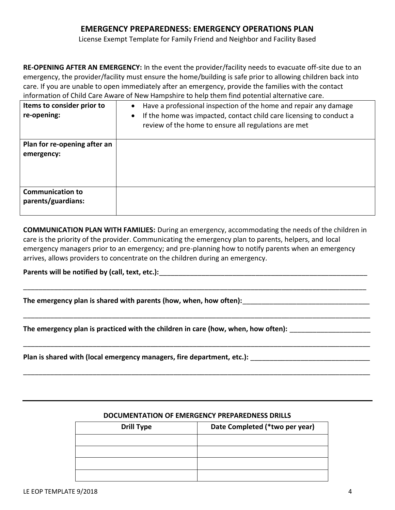License Exempt Template for Family Friend and Neighbor and Facility Based

**RE-OPENING AFTER AN EMERGENCY:** In the event the provider/facility needs to evacuate off-site due to an emergency, the provider/facility must ensure the home/building is safe prior to allowing children back into care. If you are unable to open immediately after an emergency, provide the families with the contact information of Child Care Aware of New Hampshire to help them find potential alternative care.

| Items to consider prior to<br>re-opening:     | Have a professional inspection of the home and repair any damage<br>$\bullet$<br>If the home was impacted, contact child care licensing to conduct a<br>$\bullet$<br>review of the home to ensure all regulations are met |
|-----------------------------------------------|---------------------------------------------------------------------------------------------------------------------------------------------------------------------------------------------------------------------------|
| Plan for re-opening after an<br>emergency:    |                                                                                                                                                                                                                           |
|                                               |                                                                                                                                                                                                                           |
| <b>Communication to</b><br>parents/guardians: |                                                                                                                                                                                                                           |

**COMMUNICATION PLAN WITH FAMILIES:** During an emergency, accommodating the needs of the children in care is the priority of the provider. Communicating the emergency plan to parents, helpers, and local emergency managers prior to an emergency; and pre-planning how to notify parents when an emergency arrives, allows providers to concentrate on the children during an emergency.

\_\_\_\_\_\_\_\_\_\_\_\_\_\_\_\_\_\_\_\_\_\_\_\_\_\_\_\_\_\_\_\_\_\_\_\_\_\_\_\_\_\_\_\_\_\_\_\_\_\_\_\_\_\_\_\_\_\_\_\_\_\_\_\_\_\_\_\_\_\_\_\_\_\_\_\_\_\_\_\_\_\_\_\_\_\_\_\_\_

\_\_\_\_\_\_\_\_\_\_\_\_\_\_\_\_\_\_\_\_\_\_\_\_\_\_\_\_\_\_\_\_\_\_\_\_\_\_\_\_\_\_\_\_\_\_\_\_\_\_\_\_\_\_\_\_\_\_\_\_\_\_\_\_\_\_\_\_\_\_\_\_\_\_\_\_\_\_\_\_\_\_\_\_\_\_\_\_\_\_

\_\_\_\_\_\_\_\_\_\_\_\_\_\_\_\_\_\_\_\_\_\_\_\_\_\_\_\_\_\_\_\_\_\_\_\_\_\_\_\_\_\_\_\_\_\_\_\_\_\_\_\_\_\_\_\_\_\_\_\_\_\_\_\_\_\_\_\_\_\_\_\_\_\_\_\_\_\_\_\_\_\_\_\_\_\_\_\_\_\_

\_\_\_\_\_\_\_\_\_\_\_\_\_\_\_\_\_\_\_\_\_\_\_\_\_\_\_\_\_\_\_\_\_\_\_\_\_\_\_\_\_\_\_\_\_\_\_\_\_\_\_\_\_\_\_\_\_\_\_\_\_\_\_\_\_\_\_\_\_\_\_\_\_\_\_\_\_\_\_\_\_\_\_\_\_\_\_\_\_\_

**Parents will be notified by (call, text, etc.):**\_\_\_\_\_\_\_\_\_\_\_\_\_\_\_\_\_\_\_\_\_\_\_\_\_\_\_\_\_\_\_\_\_\_\_\_\_\_\_\_\_\_\_\_\_\_\_\_\_\_\_\_\_\_

**The emergency plan is shared with parents (how, when, how often):**\_\_\_\_\_\_\_\_\_\_\_\_\_\_\_\_\_\_\_\_\_\_\_\_\_\_\_\_\_\_\_\_\_

The emergency plan is practiced with the children in care (how, when, how often):

Plan is shared with (local emergency managers, fire department, etc.):

| <b>Drill Type</b> | Date Completed (*two per year) |
|-------------------|--------------------------------|
|                   |                                |
|                   |                                |
|                   |                                |
|                   |                                |

#### **DOCUMENTATION OF EMERGENCY PREPAREDNESS DRILLS**